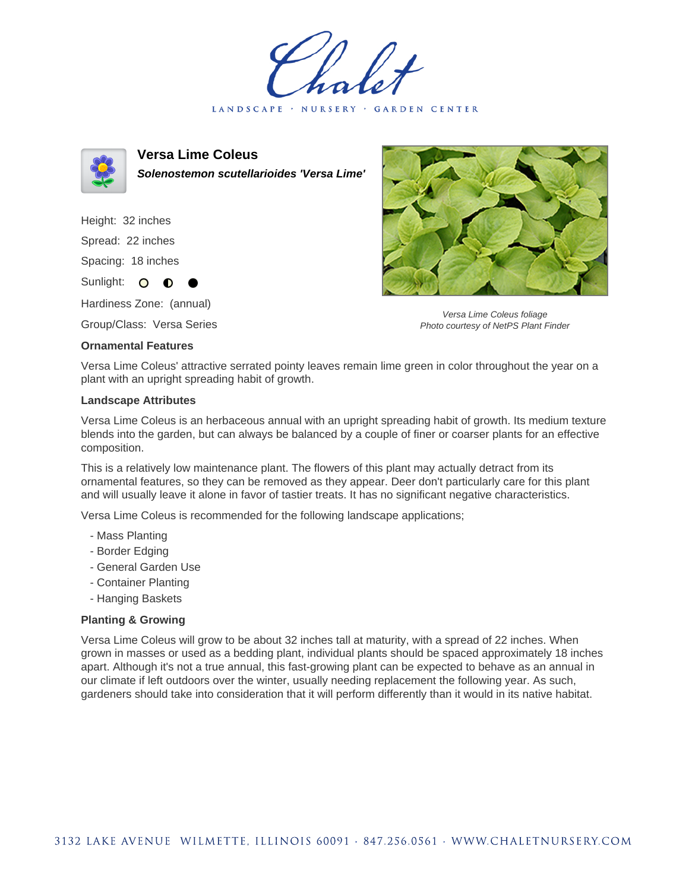LANDSCAPE · NURSERY · GARDEN CENTER



**Versa Lime Coleus Solenostemon scutellarioides 'Versa Lime'**

Height: 32 inches Spread: 22 inches Spacing: 18 inches Sunlight: O **O** 

Hardiness Zone: (annual)

Group/Class: Versa Series

## **Ornamental Features**



Versa Lime Coleus foliage Photo courtesy of NetPS Plant Finder

Versa Lime Coleus' attractive serrated pointy leaves remain lime green in color throughout the year on a plant with an upright spreading habit of growth.

## **Landscape Attributes**

Versa Lime Coleus is an herbaceous annual with an upright spreading habit of growth. Its medium texture blends into the garden, but can always be balanced by a couple of finer or coarser plants for an effective composition.

This is a relatively low maintenance plant. The flowers of this plant may actually detract from its ornamental features, so they can be removed as they appear. Deer don't particularly care for this plant and will usually leave it alone in favor of tastier treats. It has no significant negative characteristics.

Versa Lime Coleus is recommended for the following landscape applications;

- Mass Planting
- Border Edging
- General Garden Use
- Container Planting
- Hanging Baskets

## **Planting & Growing**

Versa Lime Coleus will grow to be about 32 inches tall at maturity, with a spread of 22 inches. When grown in masses or used as a bedding plant, individual plants should be spaced approximately 18 inches apart. Although it's not a true annual, this fast-growing plant can be expected to behave as an annual in our climate if left outdoors over the winter, usually needing replacement the following year. As such, gardeners should take into consideration that it will perform differently than it would in its native habitat.